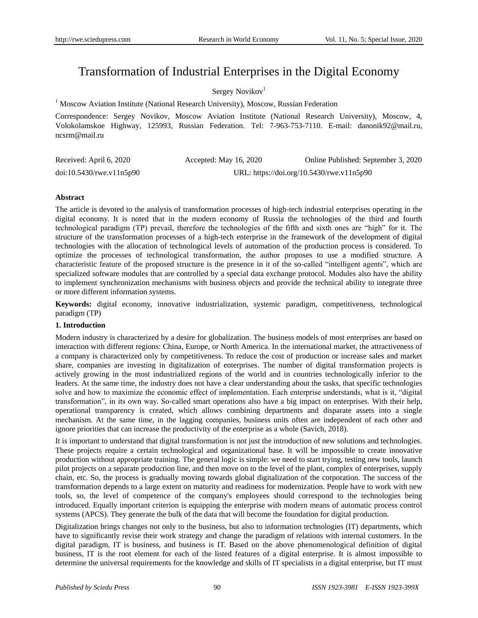# Transformation of Industrial Enterprises in the Digital Economy

# Sergey Novikov<sup>1</sup>

<sup>1</sup> Moscow Aviation Institute (National Research University), Moscow, Russian Federation

Correspondence: Sergey Novikov, Moscow Aviation Institute (National Research University), Moscow, 4, Volokolamskoe Highway, 125993, Russian Federation. Tel: 7-963-753-7110. E-mail: danonik92@mail.ru, ncsrm@mail.ru

| Received: April 6, 2020     | Accepted: May 16, 2020 | Online Published: September 3, 2020       |
|-----------------------------|------------------------|-------------------------------------------|
| $doi:10.5430$ /rwe.v11n5p90 |                        | URL: https://doi.org/10.5430/rwe.v11n5p90 |

## **Abstract**

The article is devoted to the analysis of transformation processes of high-tech industrial enterprises operating in the digital economy. It is noted that in the modern economy of Russia the technologies of the third and fourth technological paradigm (TP) prevail, therefore the technologies of the fifth and sixth ones are "high" for it. The structure of the transformation processes of a high-tech enterprise in the framework of the development of digital technologies with the allocation of technological levels of automation of the production process is considered. To optimize the processes of technological transformation, the author proposes to use a modified structure. A characteristic feature of the proposed structure is the presence in it of the so-called "intelligent agents", which are specialized software modules that are controlled by a special data exchange protocol. Modules also have the ability to implement synchronization mechanisms with business objects and provide the technical ability to integrate three or more different information systems.

**Keywords:** digital economy, innovative industrialization, systemic paradigm, competitiveness, technological paradigm (TP)

## **1. Introduction**

Modern industry is characterized by a desire for globalization. The business models of most enterprises are based on interaction with different regions: China, Europe, or North America. In the international market, the attractiveness of a company is characterized only by competitiveness. To reduce the cost of production or increase sales and market share, companies are investing in digitalization of enterprises. The number of digital transformation projects is actively growing in the most industrialized regions of the world and in countries technologically inferior to the leaders. At the same time, the industry does not have a clear understanding about the tasks, that specific technologies solve and how to maximize the economic effect of implementation. Each enterprise understands, what is it, "digital transformation", in its own way. So-called smart operations also have a big impact on enterprises. With their help, operational transparency is created, which allows combining departments and disparate assets into a single mechanism. At the same time, in the lagging companies, business units often are independent of each other and ignore priorities that can increase the productivity of the enterprise as a whole (Savich, 2018).

It is important to understand that digital transformation is not just the introduction of new solutions and technologies. These projects require a certain technological and organizational base. It will be impossible to create innovative production without appropriate training. The general logic is simple: we need to start trying, testing new tools, launch pilot projects on a separate production line, and then move on to the level of the plant, complex of enterprises, supply chain, etc. So, the process is gradually moving towards global digitalization of the corporation. The success of the transformation depends to a large extent on maturity and readiness for modernization. People have to work with new tools, so, the level of competence of the company's employees should correspond to the technologies being introduced. Equally important criterion is equipping the enterprise with modern means of automatic process control systems (APCS). They generate the bulk of the data that will become the foundation for digital production.

Digitalization brings changes not only to the business, but also to information technologies (IT) departments, which have to significantly revise their work strategy and change the paradigm of relations with internal customers. In the digital paradigm, IT is business, and business is IT. Based on the above phenomenological definition of digital business, IT is the root element for each of the listed features of a digital enterprise. It is almost impossible to determine the universal requirements for the knowledge and skills of IT specialists in a digital enterprise, but IT must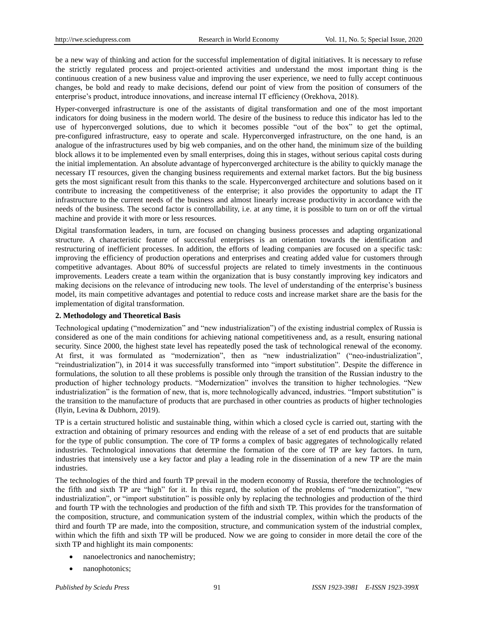be a new way of thinking and action for the successful implementation of digital initiatives. It is necessary to refuse the strictly regulated process and project-oriented activities and understand the most important thing is the continuous creation of a new business value and improving the user experience, we need to fully accept continuous changes, be bold and ready to make decisions, defend our point of view from the position of consumers of the enterprise's product, introduce innovations, and increase internal IT efficiency (Orekhova, 2018).

Hyper-converged infrastructure is one of the assistants of digital transformation and one of the most important indicators for doing business in the modern world. The desire of the business to reduce this indicator has led to the use of hyperconverged solutions, due to which it becomes possible "out of the box" to get the optimal, pre-configured infrastructure, easy to operate and scale. Hyperconverged infrastructure, on the one hand, is an analogue of the infrastructures used by big web companies, and on the other hand, the minimum size of the building block allows it to be implemented even by small enterprises, doing this in stages, without serious capital costs during the initial implementation. An absolute advantage of hyperconverged architecture is the ability to quickly manage the necessary IT resources, given the changing business requirements and external market factors. But the big business gets the most significant result from this thanks to the scale. Hyperconverged architecture and solutions based on it contribute to increasing the competitiveness of the enterprise; it also provides the opportunity to adapt the IT infrastructure to the current needs of the business and almost linearly increase productivity in accordance with the needs of the business. The second factor is controllability, i.e. at any time, it is possible to turn on or off the virtual machine and provide it with more or less resources.

Digital transformation leaders, in turn, are focused on changing business processes and adapting organizational structure. A characteristic feature of successful enterprises is an orientation towards the identification and restructuring of inefficient processes. In addition, the efforts of leading companies are focused on a specific task: improving the efficiency of production operations and enterprises and creating added value for customers through competitive advantages. About 80% of successful projects are related to timely investments in the continuous improvements. Leaders create a team within the organization that is busy constantly improving key indicators and making decisions on the relevance of introducing new tools. The level of understanding of the enterprise's business model, its main competitive advantages and potential to reduce costs and increase market share are the basis for the implementation of digital transformation.

# **2. Methodology and Theoretical Basis**

Technological updating ("modernization" and "new industrialization") of the existing industrial complex of Russia is considered as one of the main conditions for achieving national competitiveness and, as a result, ensuring national security. Since 2000, the highest state level has repeatedly posed the task of technological renewal of the economy. At first, it was formulated as "modernization", then as "new industrialization" ("neo-industrialization", "reindustrialization"), in 2014 it was successfully transformed into "import substitution". Despite the difference in formulations, the solution to all these problems is possible only through the transition of the Russian industry to the production of higher technology products. "Modernization" involves the transition to higher technologies. "New industrialization" is the formation of new, that is, more technologically advanced, industries. "Import substitution" is the transition to the manufacture of products that are purchased in other countries as products of higher technologies (Ilyin, Levina & Dubhorn, 2019).

TP is a certain structured holistic and sustainable thing, within which a closed cycle is carried out, starting with the extraction and obtaining of primary resources and ending with the release of a set of end products that are suitable for the type of public consumption. The core of TP forms a complex of basic aggregates of technologically related industries. Technological innovations that determine the formation of the core of TP are key factors. In turn, industries that intensively use a key factor and play a leading role in the dissemination of a new TP are the main industries.

The technologies of the third and fourth TP prevail in the modern economy of Russia, therefore the technologies of the fifth and sixth TP are "high" for it. In this regard, the solution of the problems of "modernization", "new industrialization", or "import substitution" is possible only by replacing the technologies and production of the third and fourth TP with the technologies and production of the fifth and sixth TP. This provides for the transformation of the composition, structure, and communication system of the industrial complex, within which the products of the third and fourth TP are made, into the composition, structure, and communication system of the industrial complex, within which the fifth and sixth TP will be produced. Now we are going to consider in more detail the core of the sixth TP and highlight its main components:

- nanoelectronics and nanochemistry;
- nanophotonics;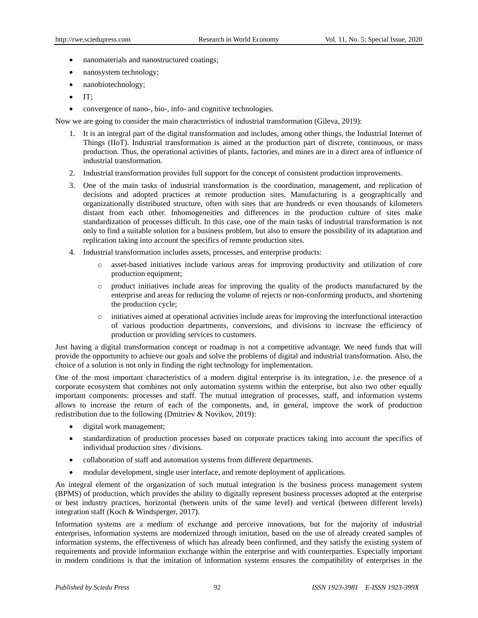- nanomaterials and nanostructured coatings;
- nanosystem technology;
- nanobiotechnology;
- IT;
- convergence of nano-, bio-, info- and cognitive technologies.

Now we are going to consider the main characteristics of industrial transformation (Gileva, 2019):

- 1. It is an integral part of the digital transformation and includes, among other things, the Industrial Internet of Things (IIoT). Industrial transformation is aimed at the production part of discrete, continuous, or mass production. Thus, the operational activities of plants, factories, and mines are in a direct area of influence of industrial transformation.
- 2. Industrial transformation provides full support for the concept of consistent production improvements.
- 3. One of the main tasks of industrial transformation is the coordination, management, and replication of decisions and adopted practices at remote production sites. Manufacturing is a geographically and organizationally distributed structure, often with sites that are hundreds or even thousands of kilometers distant from each other. Inhomogeneities and differences in the production culture of sites make standardization of processes difficult. In this case, one of the main tasks of industrial transformation is not only to find a suitable solution for a business problem, but also to ensure the possibility of its adaptation and replication taking into account the specifics of remote production sites.
- 4. Industrial transformation includes assets, processes, and enterprise products:
	- o asset-based initiatives include various areas for improving productivity and utilization of core production equipment;
	- o product initiatives include areas for improving the quality of the products manufactured by the enterprise and areas for reducing the volume of rejects or non-conforming products, and shortening the production cycle;
	- initiatives aimed at operational activities include areas for improving the interfunctional interaction of various production departments, conversions, and divisions to increase the efficiency of production or providing services to customers.

Just having a digital transformation concept or roadmap is not a competitive advantage. We need funds that will provide the opportunity to achieve our goals and solve the problems of digital and industrial transformation. Also, the choice of a solution is not only in finding the right technology for implementation.

One of the most important characteristics of a modern digital enterprise is its integration, i.e. the presence of a corporate ecosystem that combines not only automation systems within the enterprise, but also two other equally important components: processes and staff. The mutual integration of processes, staff, and information systems allows to increase the return of each of the components, and, in general, improve the work of production redistribution due to the following (Dmitriev & Novikov, 2019):

- digital work management;
- standardization of production processes based on corporate practices taking into account the specifics of individual production sites / divisions.
- collaboration of staff and automation systems from different departments.
- modular development, single user interface, and remote deployment of applications.

An integral element of the organization of such mutual integration is the business process management system (BPMS) of production, which provides the ability to digitally represent business processes adopted at the enterprise or best industry practices, horizontal (between units of the same level) and vertical (between different levels) integration staff (Koch & Windsperger, 2017).

Information systems are a medium of exchange and perceive innovations, but for the majority of industrial enterprises, information systems are modernized through imitation, based on the use of already created samples of information systems, the effectiveness of which has already been confirmed, and they satisfy the existing system of requirements and provide information exchange within the enterprise and with counterparties. Especially important in modern conditions is that the imitation of information systems ensures the compatibility of enterprises in the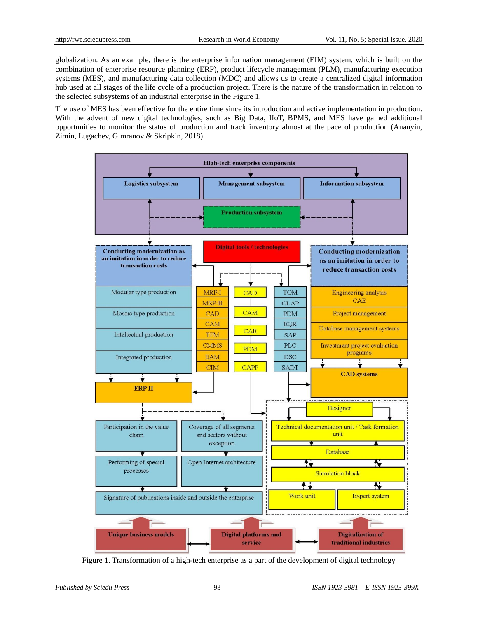globalization. As an example, there is the enterprise information management (EIM) system, which is built on the combination of enterprise resource planning (ERP), product lifecycle management (PLM), manufacturing execution systems (MES), and manufacturing data collection (MDC) and allows us to create a centralized digital information hub used at all stages of the life cycle of a production project. There is the nature of the transformation in relation to the selected subsystems of an industrial enterprise in the Figure 1.

The use of MES has been effective for the entire time since its introduction and active implementation in production. With the advent of new digital technologies, such as Big Data, IIoT, BPMS, and MES have gained additional opportunities to monitor the status of production and track inventory almost at the pace of production (Ananyin, Zimin, Lugachev, Gimranov & Skripkin, 2018).



Figure 1. Transformation of a high-tech enterprise as a part of the development of digital technology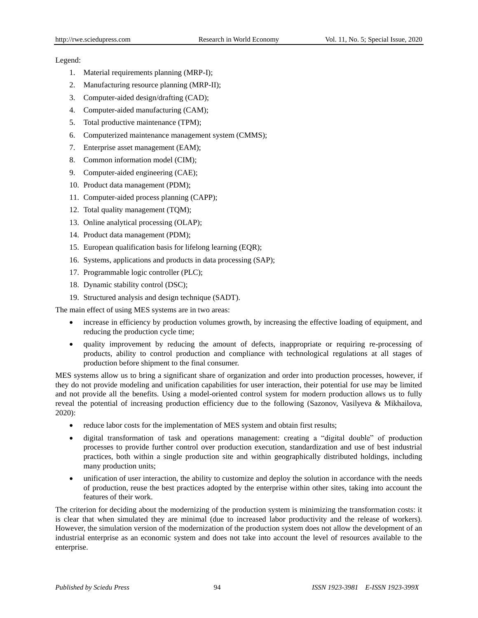## Legend:

- 1. Material requirements planning (MRP-I);
- 2. Manufacturing resource planning (MRP-II);
- 3. Computer-aided design/drafting (CAD);
- 4. Computer-aided manufacturing (CAM);
- 5. Total productive maintenance (TPM);
- 6. Computerized maintenance management system (CMMS);
- 7. Enterprise asset management (EAM);
- 8. Common information model (CIM);
- 9. Computer-aided engineering (CAE);
- 10. Product data management (PDM);
- 11. Computer-aided process planning (CAPP);
- 12. Total quality management (TQM);
- 13. Online analytical processing (OLAP);
- 14. Product data management (PDM);
- 15. European qualification basis for lifelong learning (EQR);
- 16. Systems, applications and products in data processing (SAP);
- 17. Programmable logic controller (PLC);
- 18. Dynamic stability control (DSC);
- 19. Structured analysis and design technique (SADT).

The main effect of using MES systems are in two areas:

- increase in efficiency by production volumes growth, by increasing the effective loading of equipment, and reducing the production cycle time;
- quality improvement by reducing the amount of defects, inappropriate or requiring re-processing of products, ability to control production and compliance with technological regulations at all stages of production before shipment to the final consumer.

MES systems allow us to bring a significant share of organization and order into production processes, however, if they do not provide modeling and unification capabilities for user interaction, their potential for use may be limited and not provide all the benefits. Using a model-oriented control system for modern production allows us to fully reveal the potential of increasing production efficiency due to the following (Sazonov, Vasilyeva & Mikhailova, 2020):

- reduce labor costs for the implementation of MES system and obtain first results;
- digital transformation of task and operations management: creating a "digital double" of production processes to provide further control over production execution, standardization and use of best industrial practices, both within a single production site and within geographically distributed holdings, including many production units;
- unification of user interaction, the ability to customize and deploy the solution in accordance with the needs of production, reuse the best practices adopted by the enterprise within other sites, taking into account the features of their work.

The criterion for deciding about the modernizing of the production system is minimizing the transformation costs: it is clear that when simulated they are minimal (due to increased labor productivity and the release of workers). However, the simulation version of the modernization of the production system does not allow the development of an industrial enterprise as an economic system and does not take into account the level of resources available to the enterprise.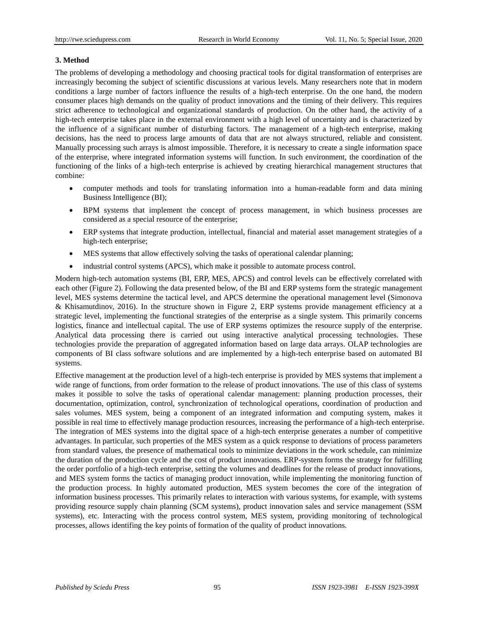## **3. Method**

The problems of developing a methodology and choosing practical tools for digital transformation of enterprises are increasingly becoming the subject of scientific discussions at various levels. Many researchers note that in modern conditions a large number of factors influence the results of a high-tech enterprise. On the one hand, the modern consumer places high demands on the quality of product innovations and the timing of their delivery. This requires strict adherence to technological and organizational standards of production. On the other hand, the activity of a high-tech enterprise takes place in the external environment with a high level of uncertainty and is characterized by the influence of a significant number of disturbing factors. The management of a high-tech enterprise, making decisions, has the need to process large amounts of data that are not always structured, reliable and consistent. Manually processing such arrays is almost impossible. Therefore, it is necessary to create a single information space of the enterprise, where integrated information systems will function. In such environment, the coordination of the functioning of the links of a high-tech enterprise is achieved by creating hierarchical management structures that combine:

- computer methods and tools for translating information into a human-readable form and data mining Business Intelligence (BI);
- BPM systems that implement the concept of process management, in which business processes are considered as a special resource of the enterprise;
- ERP systems that integrate production, intellectual, financial and material asset management strategies of a high-tech enterprise;
- MES systems that allow effectively solving the tasks of operational calendar planning;
- industrial control systems (APCS), which make it possible to automate process control.

Modern high-tech automation systems (BI, ERP, MES, APCS) and control levels can be effectively correlated with each other (Figure 2). Following the data presented below, of the BI and ERP systems form the strategic management level, MES systems determine the tactical level, and APCS determine the operational management level (Simonova & Khisamutdinov, 2016). In the structure shown in Figure 2, ERP systems provide management efficiency at a strategic level, implementing the functional strategies of the enterprise as a single system. This primarily concerns logistics, finance and intellectual capital. The use of ERP systems optimizes the resource supply of the enterprise. Analytical data processing there is carried out using interactive analytical processing technologies. These technologies provide the preparation of aggregated information based on large data arrays. OLAP technologies are components of BI class software solutions and are implemented by a high-tech enterprise based on automated BI systems.

Effective management at the production level of a high-tech enterprise is provided by MES systems that implement a wide range of functions, from order formation to the release of product innovations. The use of this class of systems makes it possible to solve the tasks of operational calendar management: planning production processes, their documentation, optimization, control, synchronization of technological operations, coordination of production and sales volumes. MES system, being a component of an integrated information and computing system, makes it possible in real time to effectively manage production resources, increasing the performance of a high-tech enterprise. The integration of MES systems into the digital space of a high-tech enterprise generates a number of competitive advantages. In particular, such properties of the MES system as a quick response to deviations of process parameters from standard values, the presence of mathematical tools to minimize deviations in the work schedule, can minimize the duration of the production cycle and the cost of product innovations. ERP-system forms the strategy for fulfilling the order portfolio of a high-tech enterprise, setting the volumes and deadlines for the release of product innovations, and MES system forms the tactics of managing product innovation, while implementing the monitoring function of the production process. In highly automated production, MES system becomes the core of the integration of information business processes. This primarily relates to interaction with various systems, for example, with systems providing resource supply chain planning (SCM systems), product innovation sales and service management (SSM systems), etc. Interacting with the process control system, MES system, providing monitoring of technological processes, allows identifing the key points of formation of the quality of product innovations.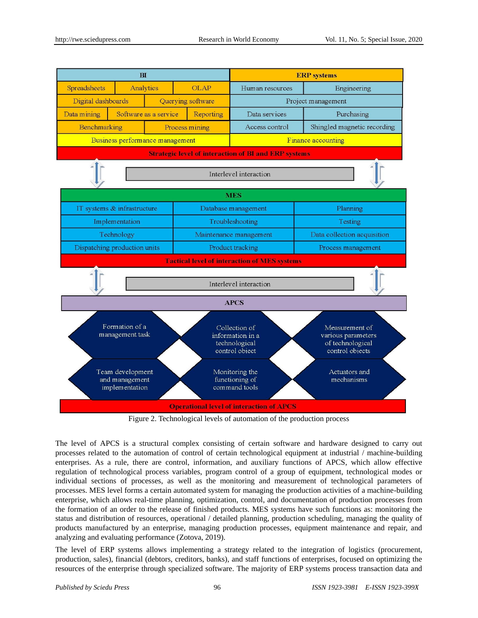

Figure 2. Technological levels of automation of the production process

The level of APCS is a structural complex consisting of certain software and hardware designed to carry out processes related to the automation of control of certain technological equipment at industrial / machine-building enterprises. As a rule, there are control, information, and auxiliary functions of APCS, which allow effective regulation of technological process variables, program control of a group of equipment, technological modes or individual sections of processes, as well as the monitoring and measurement of technological parameters of processes. MES level forms a certain automated system for managing the production activities of a machine-building enterprise, which allows real-time planning, optimization, control, and documentation of production processes from the formation of an order to the release of finished products. MES systems have such functions as: monitoring the status and distribution of resources, operational / detailed planning, production scheduling, managing the quality of products manufactured by an enterprise, managing production processes, equipment maintenance and repair, and analyzing and evaluating performance (Zotova, 2019).

The level of ERP systems allows implementing a strategy related to the integration of logistics (procurement, production, sales), financial (debtors, creditors, banks), and staff functions of enterprises, focused on optimizing the resources of the enterprise through specialized software. The majority of ERP systems process transaction data and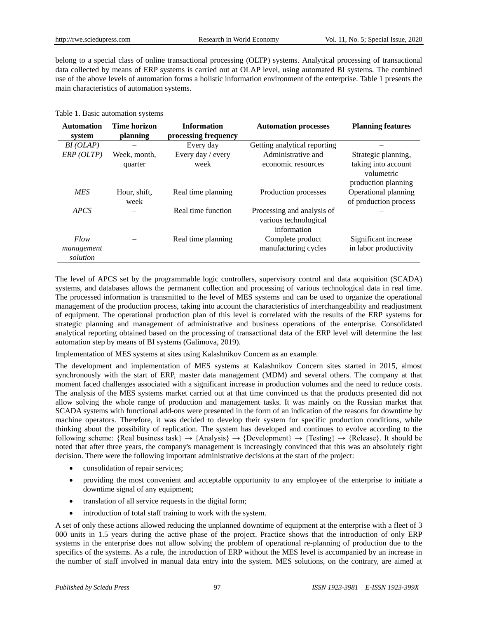belong to a special class of online transactional processing (OLTP) systems. Analytical processing of transactional data collected by means of ERP systems is carried out at OLAP level, using automated BI systems. The combined use of the above levels of automation forms a holistic information environment of the enterprise. Table 1 presents the main characteristics of automation systems.

#### Table 1. Basic automation systems

| <b>Automation</b>              | Time horizon         | <b>Information</b>   | <b>Automation processes</b>                                        | <b>Planning features</b>                                 |
|--------------------------------|----------------------|----------------------|--------------------------------------------------------------------|----------------------------------------------------------|
| system                         | planning             | processing frequency |                                                                    |                                                          |
| BI(OLAP)                       |                      | Every day            | Getting analytical reporting                                       |                                                          |
| ERP (OLTP)                     | Week, month,         | Every day / every    | Administrative and                                                 | Strategic planning,                                      |
|                                | quarter              | week                 | economic resources                                                 | taking into account<br>volumetric<br>production planning |
| <b>MES</b>                     | Hour, shift,<br>week | Real time planning   | Production processes                                               | Operational planning<br>of production process            |
| <b>APCS</b>                    |                      | Real time function   | Processing and analysis of<br>various technological<br>information |                                                          |
| Flow<br>management<br>solution |                      | Real time planning   | Complete product<br>manufacturing cycles                           | Significant increase<br>in labor productivity            |

The level of APCS set by the programmable logic controllers, supervisory control and data acquisition (SCADA) systems, and databases allows the permanent collection and processing of various technological data in real time. The processed information is transmitted to the level of MES systems and can be used to organize the operational management of the production process, taking into account the characteristics of interchangeability and readjustment of equipment. The operational production plan of this level is correlated with the results of the ERP systems for strategic planning and management of administrative and business operations of the enterprise. Consolidated analytical reporting obtained based on the processing of transactional data of the ERP level will determine the last automation step by means of BI systems (Galimova, 2019).

Implementation of MES systems at sites using Kalashnikov Concern as an example.

The development and implementation of MES systems at Kalashnikov Concern sites started in 2015, almost synchronously with the start of ERP, master data management (MDM) and several others. The company at that moment faced challenges associated with a significant increase in production volumes and the need to reduce costs. The analysis of the MES systems market carried out at that time convinced us that the products presented did not allow solving the whole range of production and management tasks. It was mainly on the Russian market that SCADA systems with functional add-ons were presented in the form of an indication of the reasons for downtime by machine operators. Therefore, it was decided to develop their system for specific production conditions, while thinking about the possibility of replication. The system has developed and continues to evolve according to the following scheme: {Real business task}  $\rightarrow$  {Analysis}  $\rightarrow$  {Development}  $\rightarrow$  {Testing}  $\rightarrow$  {Release}. It should be noted that after three years, the company's management is increasingly convinced that this was an absolutely right decision. There were the following important administrative decisions at the start of the project:

- consolidation of repair services;
- providing the most convenient and acceptable opportunity to any employee of the enterprise to initiate a downtime signal of any equipment;
- translation of all service requests in the digital form;
- introduction of total staff training to work with the system.

A set of only these actions allowed reducing the unplanned downtime of equipment at the enterprise with a fleet of 3 000 units in 1.5 years during the active phase of the project. Practice shows that the introduction of only ERP systems in the enterprise does not allow solving the problem of operational re-planning of production due to the specifics of the systems. As a rule, the introduction of ERP without the MES level is accompanied by an increase in the number of staff involved in manual data entry into the system. MES solutions, on the contrary, are aimed at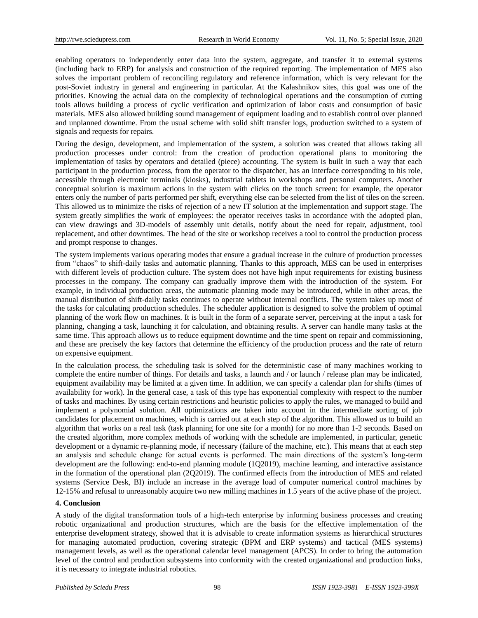enabling operators to independently enter data into the system, aggregate, and transfer it to external systems (including back to ERP) for analysis and construction of the required reporting. The implementation of MES also solves the important problem of reconciling regulatory and reference information, which is very relevant for the post-Soviet industry in general and engineering in particular. At the Kalashnikov sites, this goal was one of the priorities. Knowing the actual data on the complexity of technological operations and the consumption of cutting tools allows building a process of cyclic verification and optimization of labor costs and consumption of basic materials. MES also allowed building sound management of equipment loading and to establish control over planned and unplanned downtime. From the usual scheme with solid shift transfer logs, production switched to a system of signals and requests for repairs.

During the design, development, and implementation of the system, a solution was created that allows taking all production processes under control: from the creation of production operational plans to monitoring the implementation of tasks by operators and detailed (piece) accounting. The system is built in such a way that each participant in the production process, from the operator to the dispatcher, has an interface corresponding to his role, accessible through electronic terminals (kiosks), industrial tablets in workshops and personal computers. Another conceptual solution is maximum actions in the system with clicks on the touch screen: for example, the operator enters only the number of parts performed per shift, everything else can be selected from the list of tiles on the screen. This allowed us to minimize the risks of rejection of a new IT solution at the implementation and support stage. The system greatly simplifies the work of employees: the operator receives tasks in accordance with the adopted plan, can view drawings and 3D-models of assembly unit details, notify about the need for repair, adjustment, tool replacement, and other downtimes. The head of the site or workshop receives a tool to control the production process and prompt response to changes.

The system implements various operating modes that ensure a gradual increase in the culture of production processes from "chaos" to shift-daily tasks and automatic planning. Thanks to this approach, MES can be used in enterprises with different levels of production culture. The system does not have high input requirements for existing business processes in the company. The company can gradually improve them with the introduction of the system. For example, in individual production areas, the automatic planning mode may be introduced, while in other areas, the manual distribution of shift-daily tasks continues to operate without internal conflicts. The system takes up most of the tasks for calculating production schedules. The scheduler application is designed to solve the problem of optimal planning of the work flow on machines. It is built in the form of a separate server, perceiving at the input a task for planning, changing a task, launching it for calculation, and obtaining results. A server can handle many tasks at the same time. This approach allows us to reduce equipment downtime and the time spent on repair and commissioning, and these are precisely the key factors that determine the efficiency of the production process and the rate of return on expensive equipment.

In the calculation process, the scheduling task is solved for the deterministic case of many machines working to complete the entire number of things. For details and tasks, a launch and / or launch / release plan may be indicated, equipment availability may be limited at a given time. In addition, we can specify a calendar plan for shifts (times of availability for work). In the general case, a task of this type has exponential complexity with respect to the number of tasks and machines. By using certain restrictions and heuristic policies to apply the rules, we managed to build and implement a polynomial solution. All optimizations are taken into account in the intermediate sorting of job candidates for placement on machines, which is carried out at each step of the algorithm. This allowed us to build an algorithm that works on a real task (task planning for one site for a month) for no more than 1-2 seconds. Based on the created algorithm, more complex methods of working with the schedule are implemented, in particular, genetic development or a dynamic re-planning mode, if necessary (failure of the machine, etc.). This means that at each step an analysis and schedule change for actual events is performed. The main directions of the system's long-term development are the following: end-to-end planning module (1Q2019), machine learning, and interactive assistance in the formation of the operational plan (2Q2019). The confirmed effects from the introduction of MES and related systems (Service Desk, BI) include an increase in the average load of computer numerical control machines by 12-15% and refusal to unreasonably acquire two new milling machines in 1.5 years of the active phase of the project.

#### **4. Conclusion**

A study of the digital transformation tools of a high-tech enterprise by informing business processes and creating robotic organizational and production structures, which are the basis for the effective implementation of the enterprise development strategy, showed that it is advisable to create information systems as hierarchical structures for managing automated production, covering strategic (BPM and ERP systems) and tactical (MES systems) management levels, as well as the operational calendar level management (APCS). In order to bring the automation level of the control and production subsystems into conformity with the created organizational and production links, it is necessary to integrate industrial robotics.